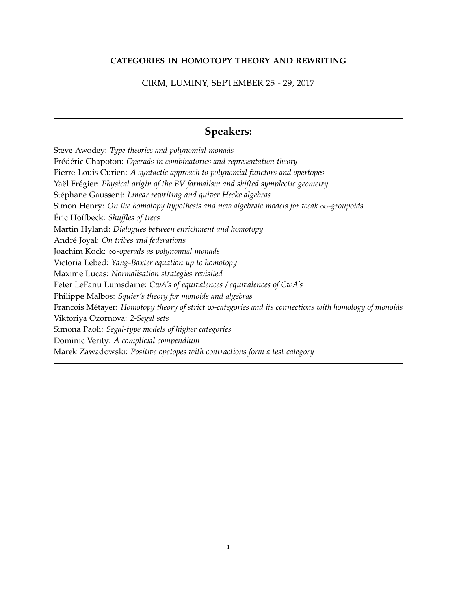#### **CATEGORIES IN HOMOTOPY THEORY AND REWRITING**

#### CIRM, LUMINY, SEPTEMBER 25 - 29, 2017

## **Speakers:**

Steve Awodey: *Type theories and polynomial monads* Frédéric Chapoton: *Operads in combinatorics and representation theory* Pierre-Louis Curien: *A syntactic approach to polynomial functors and opertopes* Yaël Frégier: *Physical origin of the BV formalism and shifted symplectic geometry* Stéphane Gaussent: *Linear rewriting and quiver Hecke algebras* Simon Henry: *On the homotopy hypothesis and new algebraic models for weak* <sup>∞</sup>*-groupoids* Éric Hoffbeck: Shuffles of trees Martin Hyland: *Dialogues between enrichment and homotopy* André Joyal: On tribes and federations Joachim Kock: <sup>∞</sup>*-operads as polynomial monads* Victoria Lebed: *Yang-Baxter equation up to homotopy* Maxime Lucas: *Normalisation strategies revisited* Peter LeFanu Lumsdaine: *CwA's of equivalences / equivalences of CwA's* Philippe Malbos: *Squier's theory for monoids and algebras* Francois Metayer: ´ *Homotopy theory of strict* ω*-categories and its connections with homology of monoids* Viktoriya Ozornova: *2-Segal sets* Simona Paoli: *Segal-type models of higher categories* Dominic Verity: *A complicial compendium* Marek Zawadowski: *Positive opetopes with contractions form a test category*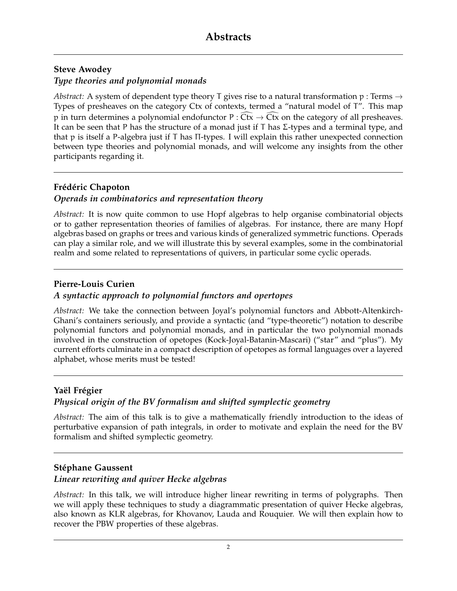# **Steve Awodey**

## *Type theories and polynomial monads*

*Abstract:* A system of dependent type theory T gives rise to a natural transformation p : Terms  $\rightarrow$ Types of presheaves on the category Ctx of contexts, termed a "natural model of T". This map p in turn determines a polynomial endofunctor  $P: Ctx \rightarrow Ctx$  on the category of all presheaves. It can be seen that P has the structure of a monad just if T has  $\Sigma$ -types and a terminal type, and that p is itself a P-algebra just if T has Π-types. I will explain this rather unexpected connection between type theories and polynomial monads, and will welcome any insights from the other participants regarding it.

## **Fr´ed´eric Chapoton**

## *Operads in combinatorics and representation theory*

*Abstract:* It is now quite common to use Hopf algebras to help organise combinatorial objects or to gather representation theories of families of algebras. For instance, there are many Hopf algebras based on graphs or trees and various kinds of generalized symmetric functions. Operads can play a similar role, and we will illustrate this by several examples, some in the combinatorial realm and some related to representations of quivers, in particular some cyclic operads.

## **Pierre-Louis Curien**

## *A syntactic approach to polynomial functors and opertopes*

*Abstract:* We take the connection between Joyal's polynomial functors and Abbott-Altenkirch-Ghani's containers seriously, and provide a syntactic (and "type-theoretic") notation to describe polynomial functors and polynomial monads, and in particular the two polynomial monads involved in the construction of opetopes (Kock-Joyal-Batanin-Mascari) ("star" and "plus"). My current efforts culminate in a compact description of opetopes as formal languages over a layered alphabet, whose merits must be tested!

## Yaël Frégier

## *Physical origin of the BV formalism and shifted symplectic geometry*

*Abstract:* The aim of this talk is to give a mathematically friendly introduction to the ideas of perturbative expansion of path integrals, in order to motivate and explain the need for the BV formalism and shifted symplectic geometry.

## **Stéphane Gaussent**

## *Linear rewriting and quiver Hecke algebras*

*Abstract:* In this talk, we will introduce higher linear rewriting in terms of polygraphs. Then we will apply these techniques to study a diagrammatic presentation of quiver Hecke algebras, also known as KLR algebras, for Khovanov, Lauda and Rouquier. We will then explain how to recover the PBW properties of these algebras.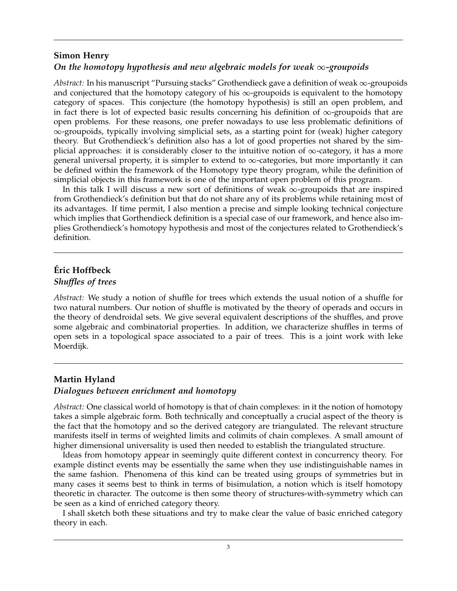#### **Simon Henry**

## *On the homotopy hypothesis and new algebraic models for weak* <sup>∞</sup>*-groupoids*

Abstract: In his manuscript "Pursuing stacks" Grothendieck gave a definition of weak ∞-groupoids and conjectured that the homotopy category of his  $\infty$ -groupoids is equivalent to the homotopy category of spaces. This conjecture (the homotopy hypothesis) is still an open problem, and in fact there is lot of expected basic results concerning his definition of <sup>∞</sup>-groupoids that are open problems. For these reasons, one prefer nowadays to use less problematic definitions of <sup>∞</sup>-groupoids, typically involving simplicial sets, as a starting point for (weak) higher category theory. But Grothendieck's definition also has a lot of good properties not shared by the simplicial approaches: it is considerably closer to the intuitive notion of  $\infty$ -category, it has a more general universal property, it is simpler to extend to  $\infty$ -categories, but more importantly it can be defined within the framework of the Homotopy type theory program, while the definition of simplicial objects in this framework is one of the important open problem of this program.

In this talk I will discuss a new sort of definitions of weak  $\infty$ -groupoids that are inspired from Grothendieck's definition but that do not share any of its problems while retaining most of its advantages. If time permit, I also mention a precise and simple looking technical conjecture which implies that Gorthendieck definition is a special case of our framework, and hence also implies Grothendieck's homotopy hypothesis and most of the conjectures related to Grothendieck's definition.

## **Eric Hoffbeck ´**

#### *Shuffles of trees*

*Abstract:* We study a notion of shuffle for trees which extends the usual notion of a shuffle for two natural numbers. Our notion of shuffle is motivated by the theory of operads and occurs in the theory of dendroidal sets. We give several equivalent descriptions of the shuffles, and prove some algebraic and combinatorial properties. In addition, we characterize shuffles in terms of open sets in a topological space associated to a pair of trees. This is a joint work with Ieke Moerdijk.

## **Martin Hyland**

#### *Dialogues between enrichment and homotopy*

*Abstract:* One classical world of homotopy is that of chain complexes: in it the notion of homotopy takes a simple algebraic form. Both technically and conceptually a crucial aspect of the theory is the fact that the homotopy and so the derived category are triangulated. The relevant structure manifests itself in terms of weighted limits and colimits of chain complexes. A small amount of higher dimensional universality is used then needed to establish the triangulated structure.

Ideas from homotopy appear in seemingly quite different context in concurrency theory. For example distinct events may be essentially the same when they use indistinguishable names in the same fashion. Phenomena of this kind can be treated using groups of symmetries but in many cases it seems best to think in terms of bisimulation, a notion which is itself homotopy theoretic in character. The outcome is then some theory of structures-with-symmetry which can be seen as a kind of enriched category theory.

I shall sketch both these situations and try to make clear the value of basic enriched category theory in each.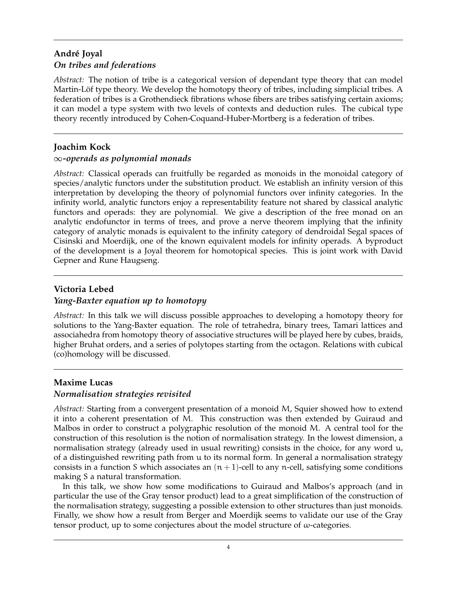## **Andr´e Joyal** *On tribes and federations*

*Abstract:* The notion of tribe is a categorical version of dependant type theory that can model Martin-Löf type theory. We develop the homotopy theory of tribes, including simplicial tribes. A federation of tribes is a Grothendieck fibrations whose fibers are tribes satisfying certain axioms; it can model a type system with two levels of contexts and deduction rules. The cubical type theory recently introduced by Cohen-Coquand-Huber-Mortberg is a federation of tribes.

## **Joachim Kock**

## <sup>∞</sup>*-operads as polynomial monads*

*Abstract:* Classical operads can fruitfully be regarded as monoids in the monoidal category of species/analytic functors under the substitution product. We establish an infinity version of this interpretation by developing the theory of polynomial functors over infinity categories. In the infinity world, analytic functors enjoy a representability feature not shared by classical analytic functors and operads: they are polynomial. We give a description of the free monad on an analytic endofunctor in terms of trees, and prove a nerve theorem implying that the infinity category of analytic monads is equivalent to the infinity category of dendroidal Segal spaces of Cisinski and Moerdijk, one of the known equivalent models for infinity operads. A byproduct of the development is a Joyal theorem for homotopical species. This is joint work with David Gepner and Rune Haugseng.

# **Victoria Lebed** *Yang-Baxter equation up to homotopy*

*Abstract:* In this talk we will discuss possible approaches to developing a homotopy theory for solutions to the Yang-Baxter equation. The role of tetrahedra, binary trees, Tamari lattices and associahedra from homotopy theory of associative structures will be played here by cubes, braids, higher Bruhat orders, and a series of polytopes starting from the octagon. Relations with cubical (co)homology will be discussed.

## **Maxime Lucas**

## *Normalisation strategies revisited*

*Abstract:* Starting from a convergent presentation of a monoid M, Squier showed how to extend it into a coherent presentation of M. This construction was then extended by Guiraud and Malbos in order to construct a polygraphic resolution of the monoid M. A central tool for the construction of this resolution is the notion of normalisation strategy. In the lowest dimension, a normalisation strategy (already used in usual rewriting) consists in the choice, for any word u, of a distinguished rewriting path from u to its normal form. In general a normalisation strategy consists in a function S which associates an  $(n + 1)$ -cell to any n-cell, satisfying some conditions making S a natural transformation.

In this talk, we show how some modifications to Guiraud and Malbos's approach (and in particular the use of the Gray tensor product) lead to a great simplification of the construction of the normalisation strategy, suggesting a possible extension to other structures than just monoids. Finally, we show how a result from Berger and Moerdijk seems to validate our use of the Gray tensor product, up to some conjectures about the model structure of  $\omega$ -categories.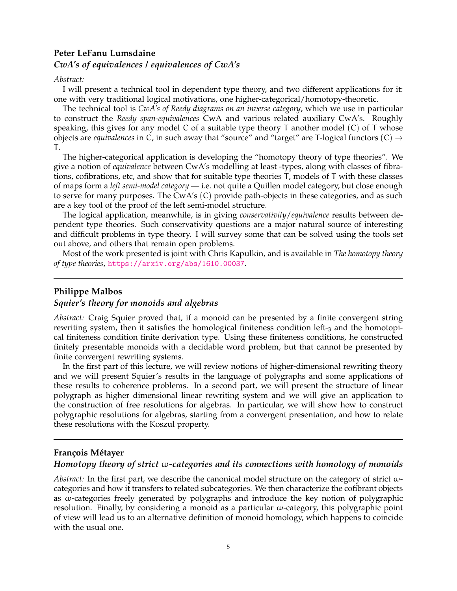## **Peter LeFanu Lumsdaine** *CwA's of equivalences / equivalences of CwA's*

#### *Abstract:*

I will present a technical tool in dependent type theory, and two different applications for it: one with very traditional logical motivations, one higher-categorical/homotopy-theoretic.

The technical tool is *CwA's of Reedy diagrams on an inverse category*, which we use in particular to construct the *Reedy span-equivalences* CwA and various related auxiliary CwA's. Roughly speaking, this gives for any model C of a suitable type theory  $T$  another model  $(C)$  of  $T$  whose objects are *equivalences* in C, in such away that "source" and "target" are T-logical functors  $(C) \rightarrow$ T.

The higher-categorical application is developing the "homotopy theory of type theories". We give a notion of *equivalence* between CwA's modelling at least -types, along with classes of fibrations, cofibrations, etc, and show that for suitable type theories T, models of T with these classes of maps form a *left semi-model category* — i.e. not quite a Quillen model category, but close enough to serve for many purposes. The CwA's (C) provide path-objects in these categories, and as such are a key tool of the proof of the left semi-model structure.

The logical application, meanwhile, is in giving *conservativity*/*equivalence* results between dependent type theories. Such conservativity questions are a major natural source of interesting and difficult problems in type theory. I will survey some that can be solved using the tools set out above, and others that remain open problems.

Most of the work presented is joint with Chris Kapulkin, and is available in *The homotopy theory of type theories*, <https://arxiv.org/abs/1610.00037>.

## **Philippe Malbos**

## *Squier's theory for monoids and algebras*

*Abstract:* Craig Squier proved that, if a monoid can be presented by a finite convergent string rewriting system, then it satisfies the homological finiteness condition left-3 and the homotopical finiteness condition finite derivation type. Using these finiteness conditions, he constructed finitely presentable monoids with a decidable word problem, but that cannot be presented by finite convergent rewriting systems.

In the first part of this lecture, we will review notions of higher-dimensional rewriting theory and we will present Squier's results in the language of polygraphs and some applications of these results to coherence problems. In a second part, we will present the structure of linear polygraph as higher dimensional linear rewriting system and we will give an application to the construction of free resolutions for algebras. In particular, we will show how to construct polygraphic resolutions for algebras, starting from a convergent presentation, and how to relate these resolutions with the Koszul property.

## **Fran¸cois M´etayer**

## *Homotopy theory of strict* ω*-categories and its connections with homology of monoids*

*Abstract:* In the first part, we describe the canonical model structure on the category of strict ωcategories and how it transfers to related subcategories. We then characterize the cofibrant objects as ω-categories freely generated by polygraphs and introduce the key notion of polygraphic resolution. Finally, by considering a monoid as a particular ω-category, this polygraphic point of view will lead us to an alternative definition of monoid homology, which happens to coincide with the usual one.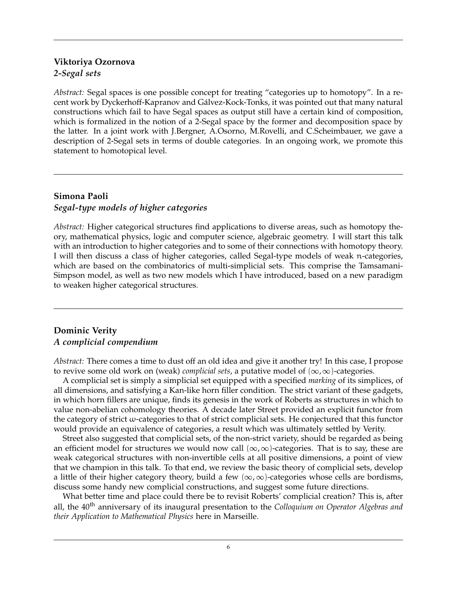## **Viktoriya Ozornova** *2-Segal sets*

*Abstract:* Segal spaces is one possible concept for treating "categories up to homotopy". In a recent work by Dyckerhoff-Kapranov and Galvez-Kock-Tonks, it was pointed out that many natural ´ constructions which fail to have Segal spaces as output still have a certain kind of composition, which is formalized in the notion of a 2-Segal space by the former and decomposition space by the latter. In a joint work with J.Bergner, A.Osorno, M.Rovelli, and C.Scheimbauer, we gave a description of 2-Segal sets in terms of double categories. In an ongoing work, we promote this statement to homotopical level.

# **Simona Paoli** *Segal-type models of higher categories*

*Abstract:* Higher categorical structures find applications to diverse areas, such as homotopy theory, mathematical physics, logic and computer science, algebraic geometry. I will start this talk with an introduction to higher categories and to some of their connections with homotopy theory. I will then discuss a class of higher categories, called Segal-type models of weak n-categories, which are based on the combinatorics of multi-simplicial sets. This comprise the Tamsamani-Simpson model, as well as two new models which I have introduced, based on a new paradigm to weaken higher categorical structures.

## **Dominic Verity** *A complicial compendium*

*Abstract:* There comes a time to dust off an old idea and give it another try! In this case, I propose to revive some old work on (weak) *complicial sets*, a putative model of (∞,∞)-categories.

A complicial set is simply a simplicial set equipped with a specified *marking* of its simplices, of all dimensions, and satisfying a Kan-like horn filler condition. The strict variant of these gadgets, in which horn fillers are unique, finds its genesis in the work of Roberts as structures in which to value non-abelian cohomology theories. A decade later Street provided an explicit functor from the category of strict ω-categories to that of strict complicial sets. He conjectured that this functor would provide an equivalence of categories, a result which was ultimately settled by Verity.

Street also suggested that complicial sets, of the non-strict variety, should be regarded as being an efficient model for structures we would now call  $(\infty, \infty)$ -categories. That is to say, these are weak categorical structures with non-invertible cells at all positive dimensions, a point of view that we champion in this talk. To that end, we review the basic theory of complicial sets, develop a little of their higher category theory, build a few  $(\infty, \infty)$ -categories whose cells are bordisms, discuss some handy new complicial constructions, and suggest some future directions.

What better time and place could there be to revisit Roberts' complicial creation? This is, after all, the 40<sup>th</sup> anniversary of its inaugural presentation to the *Colloquium on Operator Algebras and their Application to Mathematical Physics* here in Marseille.